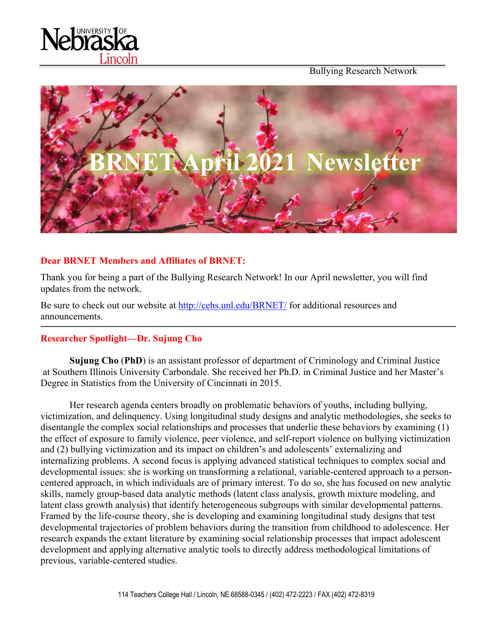

Bullying Research Network



# **Dear BRNET Members and Affiliates of BRNET:**

Thank you for being a part of the Bullying Research Network! In our April newsletter, you will find updates from the network.

Be sure to check out our website at http://cehs.unl.edu/BRNET/ for additional resources and announcements.

## **Researcher Spotlight—Dr. Sujung Cho**

**Sujung Cho** (**PhD**) is an assistant professor of department of Criminology and Criminal Justice at Southern Illinois University Carbondale. She received her Ph.D. in Criminal Justice and her Master's Degree in Statistics from the University of Cincinnati in 2015.

Her research agenda centers broadly on problematic behaviors of youths, including bullying, victimization, and delinquency. Using longitudinal study designs and analytic methodologies, she seeks to disentangle the complex social relationships and processes that underlie these behaviors by examining (1) the effect of exposure to family violence, peer violence, and self-report violence on bullying victimization and (2) bullying victimization and its impact on children's and adolescents' externalizing and internalizing problems. A second focus is applying advanced statistical techniques to complex social and developmental issues: she is working on transforming a relational, variable-centered approach to a personcentered approach, in which individuals are of primary interest. To do so, she has focused on new analytic skills, namely group-based data analytic methods (latent class analysis, growth mixture modeling, and latent class growth analysis) that identify heterogeneous subgroups with similar developmental patterns. Framed by the life-course theory, she is developing and examining longitudinal study designs that test developmental trajectories of problem behaviors during the transition from childhood to adolescence. Her research expands the extant literature by examining social relationship processes that impact adolescent development and applying alternative analytic tools to directly address methodological limitations of previous, variable-centered studies.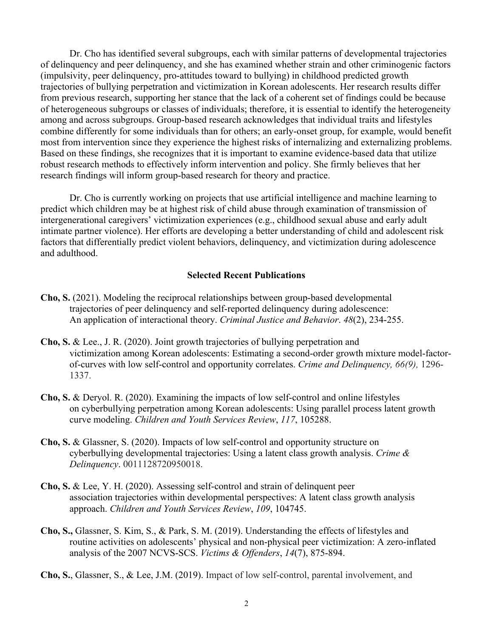Dr. Cho has identified several subgroups, each with similar patterns of developmental trajectories of delinquency and peer delinquency, and she has examined whether strain and other criminogenic factors (impulsivity, peer delinquency, pro-attitudes toward to bullying) in childhood predicted growth trajectories of bullying perpetration and victimization in Korean adolescents. Her research results differ from previous research, supporting her stance that the lack of a coherent set of findings could be because of heterogeneous subgroups or classes of individuals; therefore, it is essential to identify the heterogeneity among and across subgroups. Group-based research acknowledges that individual traits and lifestyles combine differently for some individuals than for others; an early-onset group, for example, would benefit most from intervention since they experience the highest risks of internalizing and externalizing problems. Based on these findings, she recognizes that it is important to examine evidence-based data that utilize robust research methods to effectively inform intervention and policy. She firmly believes that her research findings will inform group-based research for theory and practice.

Dr. Cho is currently working on projects that use artificial intelligence and machine learning to predict which children may be at highest risk of child abuse through examination of transmission of intergenerational caregivers' victimization experiences (e.g., childhood sexual abuse and early adult intimate partner violence). Her efforts are developing a better understanding of child and adolescent risk factors that differentially predict violent behaviors, delinquency, and victimization during adolescence and adulthood.

#### **Selected Recent Publications**

- **Cho, S.** (2021). Modeling the reciprocal relationships between group-based developmental trajectories of peer delinquency and self-reported delinquency during adolescence: An application of interactional theory. *Criminal Justice and Behavior*. *48*(2), 234-255.
- **Cho, S.** & Lee., J. R. (2020). Joint growth trajectories of bullying perpetration and victimization among Korean adolescents: Estimating a second-order growth mixture model-factorof-curves with low self-control and opportunity correlates. *Crime and Delinquency, 66(9),* 1296- 1337.
- **Cho, S.** & Deryol. R. (2020). Examining the impacts of low self-control and online lifestyles on cyberbullying perpetration among Korean adolescents: Using parallel process latent growth curve modeling. *Children and Youth Services Review*, *117*, 105288.
- **Cho, S.** & Glassner, S. (2020). Impacts of low self-control and opportunity structure on cyberbullying developmental trajectories: Using a latent class growth analysis. *Crime & Delinquency*. 0011128720950018.
- **Cho, S.** & Lee, Y. H. (2020). Assessing self-control and strain of delinquent peer association trajectories within developmental perspectives: A latent class growth analysis approach. *Children and Youth Services Review*, *109*, 104745.
- **Cho, S.,** Glassner, S. Kim, S., & Park, S. M. (2019). Understanding the effects of lifestyles and routine activities on adolescents' physical and non-physical peer victimization: A zero-inflated analysis of the 2007 NCVS-SCS. *Victims & Offenders*, *14*(7), 875-894.

**Cho, S.**, Glassner, S., & Lee, J.M. (2019). Impact of low self-control, parental involvement, and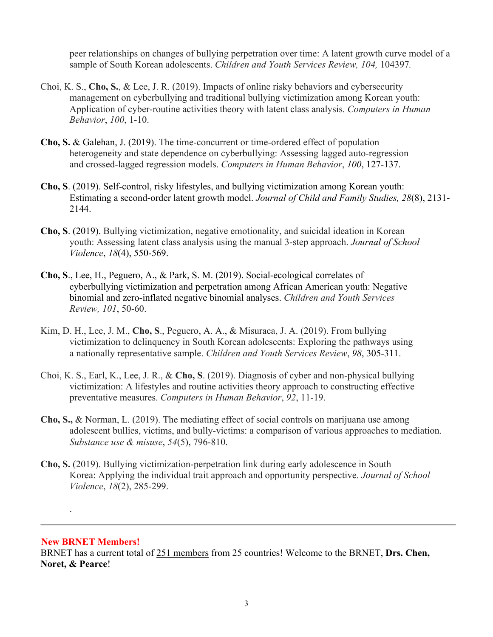peer relationships on changes of bullying perpetration over time: A latent growth curve model of a sample of South Korean adolescents. *Children and Youth Services Review, 104,* 104397*.*

- Choi, K. S., **Cho, S.**, & Lee, J. R. (2019). Impacts of online risky behaviors and cybersecurity management on cyberbullying and traditional bullying victimization among Korean youth: Application of cyber-routine activities theory with latent class analysis. *Computers in Human Behavior*, *100*, 1-10.
- **Cho, S.** & Galehan, J. (2019). The time-concurrent or time-ordered effect of population heterogeneity and state dependence on cyberbullying: Assessing lagged auto-regression and crossed-lagged regression models. *Computers in Human Behavior*, *100*, 127-137.
- **Cho, S**. (2019). Self-control, risky lifestyles, and bullying victimization among Korean youth: Estimating a second-order latent growth model. *Journal of Child and Family Studies, 28*(8), 2131- 2144.
- **Cho, S**. (2019). Bullying victimization, negative emotionality, and suicidal ideation in Korean youth: Assessing latent class analysis using the manual 3-step approach. *Journal of School Violence*, *18*(4), 550-569.
- **Cho, S**., Lee, H., Peguero, A., & Park, S. M. (2019). Social-ecological correlates of cyberbullying victimization and perpetration among African American youth: Negative binomial and zero-inflated negative binomial analyses. *Children and Youth Services Review, 101*, 50-60.
- Kim, D. H., Lee, J. M., **Cho, S**., Peguero, A. A., & Misuraca, J. A. (2019). From bullying victimization to delinquency in South Korean adolescents: Exploring the pathways using a nationally representative sample. *Children and Youth Services Review*, *98*, 305-311.
- Choi, K. S., Earl, K., Lee, J. R., & **Cho, S**. (2019). Diagnosis of cyber and non-physical bullying victimization: A lifestyles and routine activities theory approach to constructing effective preventative measures. *Computers in Human Behavior*, *92*, 11-19.
- **Cho, S.,** & Norman, L. (2019). The mediating effect of social controls on marijuana use among adolescent bullies, victims, and bully-victims: a comparison of various approaches to mediation. *Substance use & misuse*, *54*(5), 796-810.
- **Cho, S.** (2019). Bullying victimization-perpetration link during early adolescence in South Korea: Applying the individual trait approach and opportunity perspective. *Journal of School Violence*, *18*(2), 285-299.

## **New BRNET Members!**

.

BRNET has a current total of 251 members from 25 countries! Welcome to the BRNET, **Drs. Chen, Noret, & Pearce**!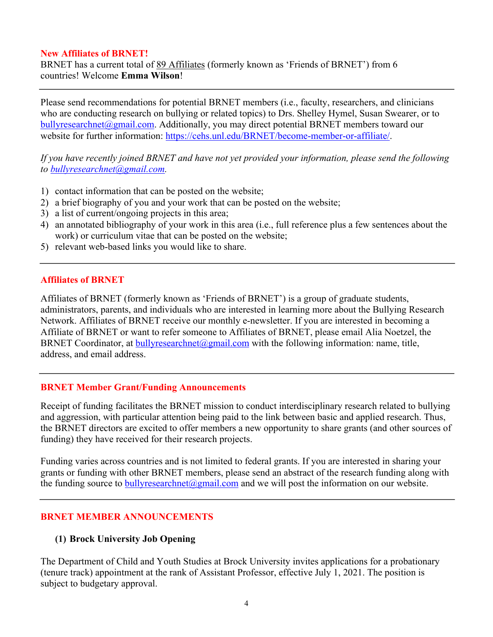#### **New Affiliates of BRNET!**

BRNET has a current total of 89 Affiliates (formerly known as 'Friends of BRNET') from 6 countries! Welcome **Emma Wilson**!

Please send recommendations for potential BRNET members (i.e., faculty, researchers, and clinicians who are conducting research on bullying or related topics) to Drs. Shelley Hymel, Susan Swearer, or to bullyresearchnet@gmail.com. Additionally, you may direct potential BRNET members toward our website for further information: https://cehs.unl.edu/BRNET/become-member-or-affiliate/.

*If you have recently joined BRNET and have not yet provided your information, please send the following to bullyresearchnet@gmail.com.*

- 1) contact information that can be posted on the website;
- 2) a brief biography of you and your work that can be posted on the website;
- 3) a list of current/ongoing projects in this area;
- 4) an annotated bibliography of your work in this area (i.e., full reference plus a few sentences about the work) or curriculum vitae that can be posted on the website;
- 5) relevant web-based links you would like to share.

#### **Affiliates of BRNET**

Affiliates of BRNET (formerly known as 'Friends of BRNET') is a group of graduate students, administrators, parents, and individuals who are interested in learning more about the Bullying Research Network. Affiliates of BRNET receive our monthly e-newsletter. If you are interested in becoming a Affiliate of BRNET or want to refer someone to Affiliates of BRNET, please email Alia Noetzel, the BRNET Coordinator, at bullyresearchnet@gmail.com with the following information: name, title, address, and email address.

## **BRNET Member Grant/Funding Announcements**

Receipt of funding facilitates the BRNET mission to conduct interdisciplinary research related to bullying and aggression, with particular attention being paid to the link between basic and applied research. Thus, the BRNET directors are excited to offer members a new opportunity to share grants (and other sources of funding) they have received for their research projects.

Funding varies across countries and is not limited to federal grants. If you are interested in sharing your grants or funding with other BRNET members, please send an abstract of the research funding along with the funding source to bully research net  $\omega$  gmail.com and we will post the information on our website.

## **BRNET MEMBER ANNOUNCEMENTS**

## **(1) Brock University Job Opening**

The Department of Child and Youth Studies at Brock University invites applications for a probationary (tenure track) appointment at the rank of Assistant Professor, effective July 1, 2021. The position is subject to budgetary approval.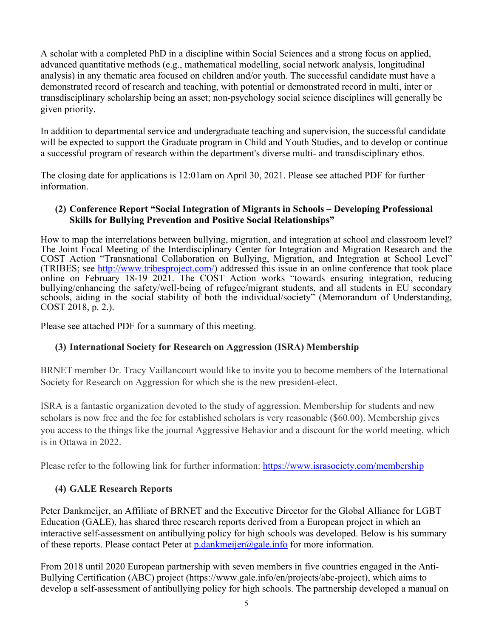A scholar with a completed PhD in a discipline within Social Sciences and a strong focus on applied, advanced quantitative methods (e.g., mathematical modelling, social network analysis, longitudinal analysis) in any thematic area focused on children and/or youth. The successful candidate must have a demonstrated record of research and teaching, with potential or demonstrated record in multi, inter or transdisciplinary scholarship being an asset; non-psychology social science disciplines will generally be given priority.

In addition to departmental service and undergraduate teaching and supervision, the successful candidate will be expected to support the Graduate program in Child and Youth Studies, and to develop or continue a successful program of research within the department's diverse multi- and transdisciplinary ethos.

The closing date for applications is 12:01am on April 30, 2021. Please see attached PDF for further information.

# **(2) Conference Report "Social Integration of Migrants in Schools – Developing Professional Skills for Bullying Prevention and Positive Social Relationships"**

How to map the interrelations between bullying, migration, and integration at school and classroom level? The Joint Focal Meeting of the Interdisciplinary Center for Integration and Migration Research and the COST Action "Transnational Collaboration on Bullying, Migration, and Integration at School Level" (TRIBES; see http://www.tribesproject.com/) addressed this issue in an online conference that took place online on February 18-19 2021. The COST Action works "towards ensuring integration, reducing bullying/enhancing the safety/well-being of refugee/migrant students, and all students in EU secondary schools, aiding in the social stability of both the individual/society" (Memorandum of Understanding, COST 2018, p. 2.).

Please see attached PDF for a summary of this meeting.

# **(3) International Society for Research on Aggression (ISRA) Membership**

BRNET member Dr. Tracy Vaillancourt would like to invite you to become members of the International Society for Research on Aggression for which she is the new president-elect.

ISRA is a fantastic organization devoted to the study of aggression. Membership for students and new scholars is now free and the fee for established scholars is very reasonable (\$60.00). Membership gives you access to the things like the journal Aggressive Behavior and a discount for the world meeting, which is in Ottawa in 2022.

Please refer to the following link for further information: https://www.israsociety.com/membership

# **(4) GALE Research Reports**

Peter Dankmeijer, an Affiliate of BRNET and the Executive Director for the Global Alliance for LGBT Education (GALE), has shared three research reports derived from a European project in which an interactive self-assessment on antibullying policy for high schools was developed. Below is his summary of these reports. Please contact Peter at  $p$ .dankmeijer@gale.info for more information.

From 2018 until 2020 European partnership with seven members in five countries engaged in the Anti-Bullying Certification (ABC) project (https://www.gale.info/en/projects/abc-project), which aims to develop a self-assessment of antibullying policy for high schools. The partnership developed a manual on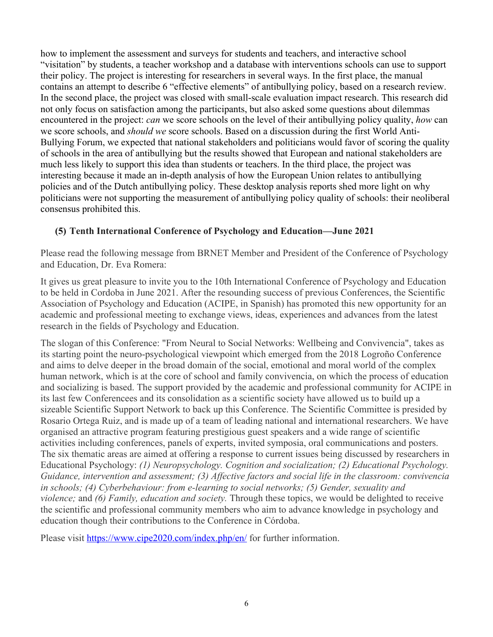how to implement the assessment and surveys for students and teachers, and interactive school "visitation" by students, a teacher workshop and a database with interventions schools can use to support their policy. The project is interesting for researchers in several ways. In the first place, the manual contains an attempt to describe 6 "effective elements" of antibullying policy, based on a research review. In the second place, the project was closed with small-scale evaluation impact research. This research did not only focus on satisfaction among the participants, but also asked some questions about dilemmas encountered in the project: *can* we score schools on the level of their antibullying policy quality, *how* can we score schools, and *should we* score schools. Based on a discussion during the first World Anti-Bullying Forum, we expected that national stakeholders and politicians would favor of scoring the quality of schools in the area of antibullying but the results showed that European and national stakeholders are much less likely to support this idea than students or teachers. In the third place, the project was interesting because it made an in-depth analysis of how the European Union relates to antibullying policies and of the Dutch antibullying policy. These desktop analysis reports shed more light on why politicians were not supporting the measurement of antibullying policy quality of schools: their neoliberal consensus prohibited this.

# **(5) Tenth International Conference of Psychology and Education—June 2021**

Please read the following message from BRNET Member and President of the Conference of Psychology and Education, Dr. Eva Romera:

It gives us great pleasure to invite you to the 10th International Conference of Psychology and Education to be held in Cordoba in June 2021. After the resounding success of previous Conferences, the Scientific Association of Psychology and Education (ACIPE, in Spanish) has promoted this new opportunity for an academic and professional meeting to exchange views, ideas, experiences and advances from the latest research in the fields of Psychology and Education.

The slogan of this Conference: "From Neural to Social Networks: Wellbeing and Convivencia", takes as its starting point the neuro-psychological viewpoint which emerged from the 2018 Logroño Conference and aims to delve deeper in the broad domain of the social, emotional and moral world of the complex human network, which is at the core of school and family convivencia, on which the process of education and socializing is based. The support provided by the academic and professional community for ACIPE in its last few Conferencees and its consolidation as a scientific society have allowed us to build up a sizeable Scientific Support Network to back up this Conference. The Scientific Committee is presided by Rosario Ortega Ruiz, and is made up of a team of leading national and international researchers. We have organised an attractive program featuring prestigious guest speakers and a wide range of scientific activities including conferences, panels of experts, invited symposia, oral communications and posters. The six thematic areas are aimed at offering a response to current issues being discussed by researchers in Educational Psychology: *(1) Neuropsychology. Cognition and socialization; (2) Educational Psychology. Guidance, intervention and assessment; (3) Affective factors and social life in the classroom: convivencia in schools; (4) Cyberbehaviour: from e-learning to social networks; (5) Gender, sexuality and violence;* and *(6) Family, education and society.* Through these topics, we would be delighted to receive the scientific and professional community members who aim to advance knowledge in psychology and education though their contributions to the Conference in Córdoba.

Please visit https://www.cipe2020.com/index.php/en/ for further information.